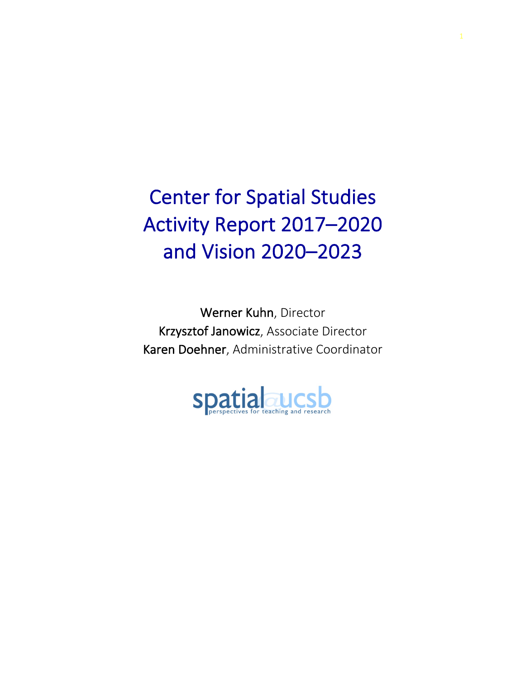Center for Spatial Studies Activity Report 2017–2020 and Vision 2020–2023

Werner Kuhn, Director Krzysztof Janowicz, Associate Director Karen Doehner, Administrative Coordinator

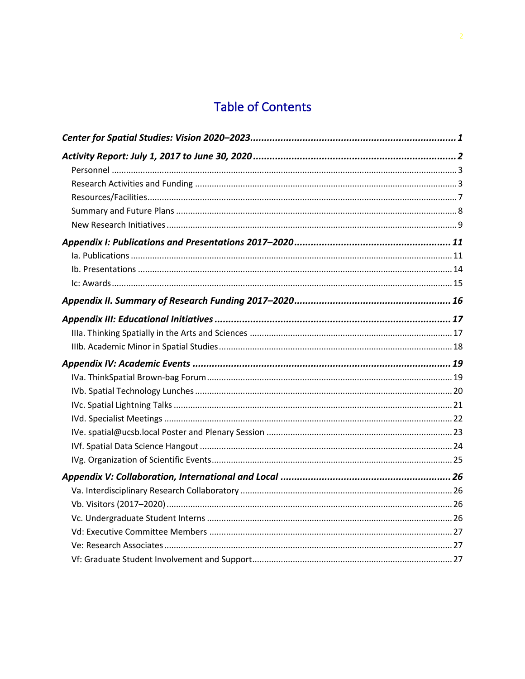# **Table of Contents**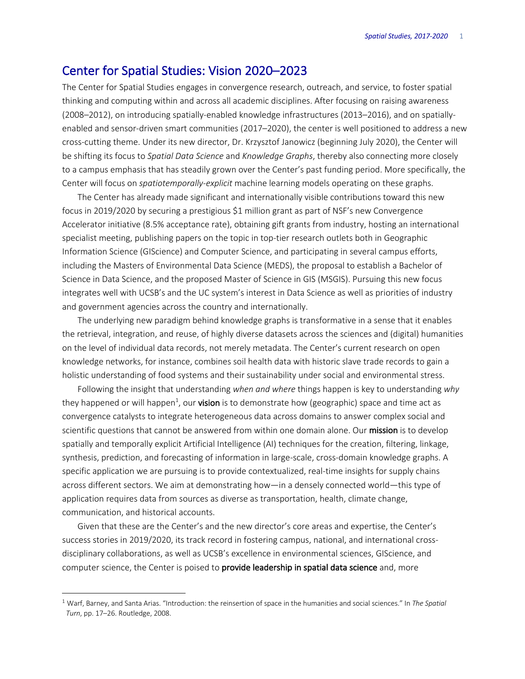## Center for Spatial Studies: Vision 2020–2023

The Center for Spatial Studies engages in convergence research, outreach, and service, to foster spatial thinking and computing within and across all academic disciplines. After focusing on raising awareness (2008–2012), on introducing spatially-enabled knowledge infrastructures (2013–2016), and on spatiallyenabled and sensor-driven smart communities (2017–2020), the center is well positioned to address a new cross-cutting theme. Under its new director, Dr. Krzysztof Janowicz (beginning July 2020), the Center will be shifting its focus to *Spatial Data Science* and *Knowledge Graphs*, thereby also connecting more closely to a campus emphasis that has steadily grown over the Center's past funding period. More specifically, the Center will focus on *spatiotemporally-explicit* machine learning models operating on these graphs.

The Center has already made significant and internationally visible contributions toward this new focus in 2019/2020 by securing a prestigious \$1 million grant as part of NSF's new Convergence Accelerator initiative (8.5% acceptance rate), obtaining gift grants from industry, hosting an international specialist meeting, publishing papers on the topic in top-tier research outlets both in Geographic Information Science (GIScience) and Computer Science, and participating in several campus efforts, including the Masters of Environmental Data Science (MEDS), the proposal to establish a Bachelor of Science in Data Science, and the proposed Master of Science in GIS (MSGIS). Pursuing this new focus integrates well with UCSB's and the UC system's interest in Data Science as well as priorities of industry and government agencies across the country and internationally.

The underlying new paradigm behind knowledge graphs is transformative in a sense that it enables the retrieval, integration, and reuse, of highly diverse datasets across the sciences and (digital) humanities on the level of individual data records, not merely metadata. The Center's current research on open knowledge networks, for instance, combines soil health data with historic slave trade records to gain a holistic understanding of food systems and their sustainability under social and environmental stress.

Following the insight that understanding *when and where* things happen is key to understanding *why* they happened or will happen<sup>1</sup>, our **vision** is to demonstrate how (geographic) space and time act as convergence catalysts to integrate heterogeneous data across domains to answer complex social and scientific questions that cannot be answered from within one domain alone. Our mission is to develop spatially and temporally explicit Artificial Intelligence (AI) techniques for the creation, filtering, linkage, synthesis, prediction, and forecasting of information in large-scale, cross-domain knowledge graphs. A specific application we are pursuing is to provide contextualized, real-time insights for supply chains across different sectors. We aim at demonstrating how—in a densely connected world—this type of application requires data from sources as diverse as transportation, health, climate change, communication, and historical accounts.

Given that these are the Center's and the new director's core areas and expertise, the Center's success stories in 2019/2020, its track record in fostering campus, national, and international crossdisciplinary collaborations, as well as UCSB's excellence in environmental sciences, GIScience, and computer science, the Center is poised to **provide leadership in spatial data science** and, more

 <sup>1</sup> Warf, Barney, and Santa Arias. "Introduction: the reinsertion of space in the humanities and social sciences." In *The Spatial Turn*, pp. 17–26. Routledge, 2008.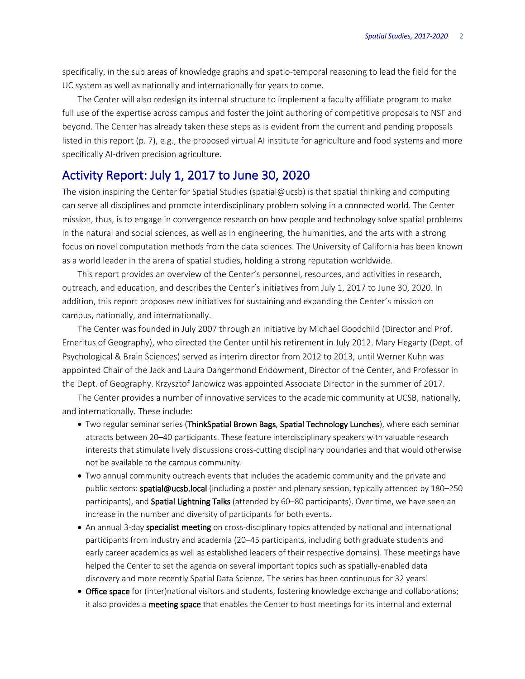specifically, in the sub areas of knowledge graphs and spatio-temporal reasoning to lead the field for the UC system as well as nationally and internationally for years to come.

The Center will also redesign its internal structure to implement a faculty affiliate program to make full use of the expertise across campus and foster the joint authoring of competitive proposals to NSF and beyond. The Center has already taken these steps as is evident from the current and pending proposals listed in this report (p. 7), e.g., the proposed virtual AI institute for agriculture and food systems and more specifically AI-driven precision agriculture.

## Activity Report: July 1, 2017 to June 30, 2020

The vision inspiring the Center for Spatial Studies (spatial@ucsb) is that spatial thinking and computing can serve all disciplines and promote interdisciplinary problem solving in a connected world. The Center mission, thus, is to engage in convergence research on how people and technology solve spatial problems in the natural and social sciences, as well as in engineering, the humanities, and the arts with a strong focus on novel computation methods from the data sciences. The University of California has been known as a world leader in the arena of spatial studies, holding a strong reputation worldwide.

This report provides an overview of the Center's personnel, resources, and activities in research, outreach, and education, and describes the Center's initiatives from July 1, 2017 to June 30, 2020. In addition, this report proposes new initiatives for sustaining and expanding the Center's mission on campus, nationally, and internationally.

The Center was founded in July 2007 through an initiative by Michael Goodchild (Director and Prof. Emeritus of Geography), who directed the Center until his retirement in July 2012. Mary Hegarty (Dept. of Psychological & Brain Sciences) served as interim director from 2012 to 2013, until Werner Kuhn was appointed Chair of the Jack and Laura Dangermond Endowment, Director of the Center, and Professor in the Dept. of Geography. Krzysztof Janowicz was appointed Associate Director in the summer of 2017.

The Center provides a number of innovative services to the academic community at UCSB, nationally, and internationally. These include:

- Two regular seminar series (ThinkSpatial Brown Bags, Spatial Technology Lunches), where each seminar attracts between 20–40 participants. These feature interdisciplinary speakers with valuable research interests that stimulate lively discussions cross-cutting disciplinary boundaries and that would otherwise not be available to the campus community.
- Two annual community outreach events that includes the academic community and the private and public sectors: spatial@ucsb.local (including a poster and plenary session, typically attended by 180–250 participants), and Spatial Lightning Talks (attended by 60-80 participants). Over time, we have seen an increase in the number and diversity of participants for both events.
- An annual 3-day specialist meeting on cross-disciplinary topics attended by national and international participants from industry and academia (20–45 participants, including both graduate students and early career academics as well as established leaders of their respective domains). These meetings have helped the Center to set the agenda on several important topics such as spatially-enabled data discovery and more recently Spatial Data Science. The series has been continuous for 32 years!
- Office space for (inter)national visitors and students, fostering knowledge exchange and collaborations; it also provides a **meeting space** that enables the Center to host meetings for its internal and external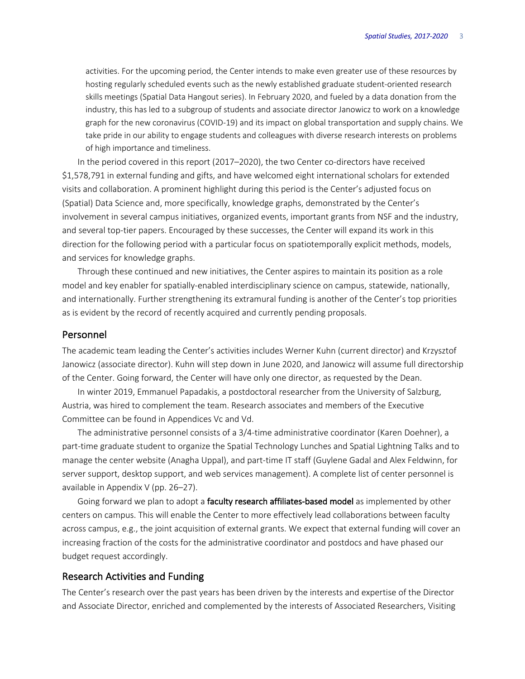activities. For the upcoming period, the Center intends to make even greater use of these resources by hosting regularly scheduled events such as the newly established graduate student-oriented research skills meetings (Spatial Data Hangout series). In February 2020, and fueled by a data donation from the industry, this has led to a subgroup of students and associate director Janowicz to work on a knowledge graph for the new coronavirus (COVID-19) and its impact on global transportation and supply chains. We take pride in our ability to engage students and colleagues with diverse research interests on problems of high importance and timeliness.

In the period covered in this report (2017–2020), the two Center co-directors have received \$1,578,791 in external funding and gifts, and have welcomed eight international scholars for extended visits and collaboration. A prominent highlight during this period is the Center's adjusted focus on (Spatial) Data Science and, more specifically, knowledge graphs, demonstrated by the Center's involvement in several campus initiatives, organized events, important grants from NSF and the industry, and several top-tier papers. Encouraged by these successes, the Center will expand its work in this direction for the following period with a particular focus on spatiotemporally explicit methods, models, and services for knowledge graphs.

Through these continued and new initiatives, the Center aspires to maintain its position as a role model and key enabler for spatially-enabled interdisciplinary science on campus, statewide, nationally, and internationally. Further strengthening its extramural funding is another of the Center's top priorities as is evident by the record of recently acquired and currently pending proposals.

### Personnel

The academic team leading the Center's activities includes Werner Kuhn (current director) and Krzysztof Janowicz (associate director). Kuhn will step down in June 2020, and Janowicz will assume full directorship of the Center. Going forward, the Center will have only one director, as requested by the Dean.

In winter 2019, Emmanuel Papadakis, a postdoctoral researcher from the University of Salzburg, Austria, was hired to complement the team. Research associates and members of the Executive Committee can be found in Appendices Vc and Vd.

The administrative personnel consists of a 3/4-time administrative coordinator (Karen Doehner), a part-time graduate student to organize the Spatial Technology Lunches and Spatial Lightning Talks and to manage the center website (Anagha Uppal), and part-time IT staff (Guylene Gadal and Alex Feldwinn, for server support, desktop support, and web services management). A complete list of center personnel is available in Appendix V (pp. 26–27).

Going forward we plan to adopt a faculty research affiliates-based model as implemented by other centers on campus. This will enable the Center to more effectively lead collaborations between faculty across campus, e.g., the joint acquisition of external grants. We expect that external funding will cover an increasing fraction of the costs for the administrative coordinator and postdocs and have phased our budget request accordingly.

### Research Activities and Funding

The Center's research over the past years has been driven by the interests and expertise of the Director and Associate Director, enriched and complemented by the interests of Associated Researchers, Visiting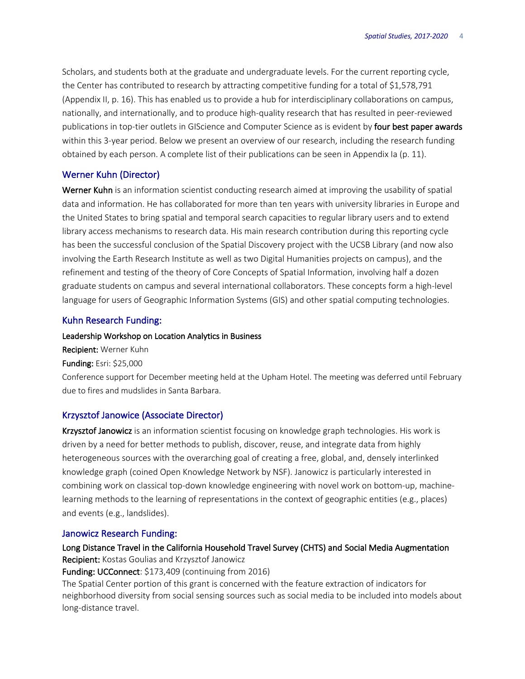Scholars, and students both at the graduate and undergraduate levels. For the current reporting cycle, the Center has contributed to research by attracting competitive funding for a total of \$1,578,791 (Appendix II, p. 16). This has enabled us to provide a hub for interdisciplinary collaborations on campus, nationally, and internationally, and to produce high-quality research that has resulted in peer-reviewed publications in top-tier outlets in GIScience and Computer Science as is evident by four best paper awards within this 3-year period. Below we present an overview of our research, including the research funding obtained by each person. A complete list of their publications can be seen in Appendix Ia (p. 11).

### Werner Kuhn (Director)

Werner Kuhn is an information scientist conducting research aimed at improving the usability of spatial data and information. He has collaborated for more than ten years with university libraries in Europe and the United States to bring spatial and temporal search capacities to regular library users and to extend library access mechanisms to research data. His main research contribution during this reporting cycle has been the successful conclusion of the Spatial Discovery project with the UCSB Library (and now also involving the Earth Research Institute as well as two Digital Humanities projects on campus), and the refinement and testing of the theory of Core Concepts of Spatial Information, involving half a dozen graduate students on campus and several international collaborators. These concepts form a high-level language for users of Geographic Information Systems (GIS) and other spatial computing technologies.

### Kuhn Research Funding:

### Leadership Workshop on Location Analytics in Business

Recipient: Werner Kuhn Funding: Esri: \$25,000

Conference support for December meeting held at the Upham Hotel. The meeting was deferred until February due to fires and mudslides in Santa Barbara.

### Krzysztof Janowice (Associate Director)

Krzysztof Janowicz is an information scientist focusing on knowledge graph technologies. His work is driven by a need for better methods to publish, discover, reuse, and integrate data from highly heterogeneous sources with the overarching goal of creating a free, global, and, densely interlinked knowledge graph (coined Open Knowledge Network by NSF). Janowicz is particularly interested in combining work on classical top-down knowledge engineering with novel work on bottom-up, machinelearning methods to the learning of representations in the context of geographic entities (e.g., places) and events (e.g., landslides).

### Janowicz Research Funding:

Long Distance Travel in the California Household Travel Survey (CHTS) and Social Media Augmentation Recipient: Kostas Goulias and Krzysztof Janowicz

Funding: UCConnect: \$173,409 (continuing from 2016)

The Spatial Center portion of this grant is concerned with the feature extraction of indicators for neighborhood diversity from social sensing sources such as social media to be included into models about long-distance travel.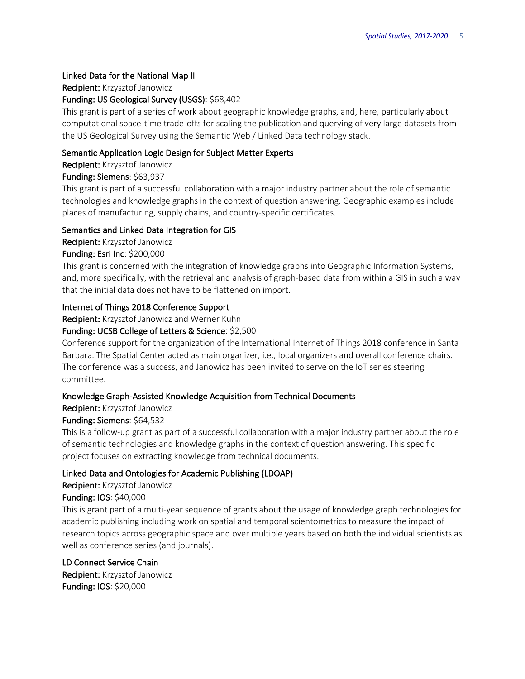## Linked Data for the National Map II

Recipient: Krzysztof Janowicz

## Funding: US Geological Survey (USGS): \$68,402

This grant is part of a series of work about geographic knowledge graphs, and, here, particularly about computational space-time trade-offs for scaling the publication and querying of very large datasets from the US Geological Survey using the Semantic Web / Linked Data technology stack.

## Semantic Application Logic Design for Subject Matter Experts

Recipient: Krzysztof Janowicz

## Funding: Siemens: \$63,937

This grant is part of a successful collaboration with a major industry partner about the role of semantic technologies and knowledge graphs in the context of question answering. Geographic examples include places of manufacturing, supply chains, and country-specific certificates.

## Semantics and Linked Data Integration for GIS

Recipient: Krzysztof Janowicz

## Funding: Esri Inc: \$200,000

This grant is concerned with the integration of knowledge graphs into Geographic Information Systems, and, more specifically, with the retrieval and analysis of graph-based data from within a GIS in such a way that the initial data does not have to be flattened on import.

## Internet of Things 2018 Conference Support

Recipient: Krzysztof Janowicz and Werner Kuhn

## Funding: UCSB College of Letters & Science: \$2,500

Conference support for the organization of the International Internet of Things 2018 conference in Santa Barbara. The Spatial Center acted as main organizer, i.e., local organizers and overall conference chairs. The conference was a success, and Janowicz has been invited to serve on the IoT series steering committee.

### Knowledge Graph-Assisted Knowledge Acquisition from Technical Documents

Recipient: Krzysztof Janowicz

## Funding: Siemens: \$64,532

This is a follow-up grant as part of a successful collaboration with a major industry partner about the role of semantic technologies and knowledge graphs in the context of question answering. This specific project focuses on extracting knowledge from technical documents.

## Linked Data and Ontologies for Academic Publishing (LDOAP)

Recipient: Krzysztof Janowicz

Funding: IOS: \$40,000

This is grant part of a multi-year sequence of grants about the usage of knowledge graph technologies for academic publishing including work on spatial and temporal scientometrics to measure the impact of research topics across geographic space and over multiple years based on both the individual scientists as well as conference series (and journals).

## LD Connect Service Chain

Recipient: Krzysztof Janowicz Funding: IOS: \$20,000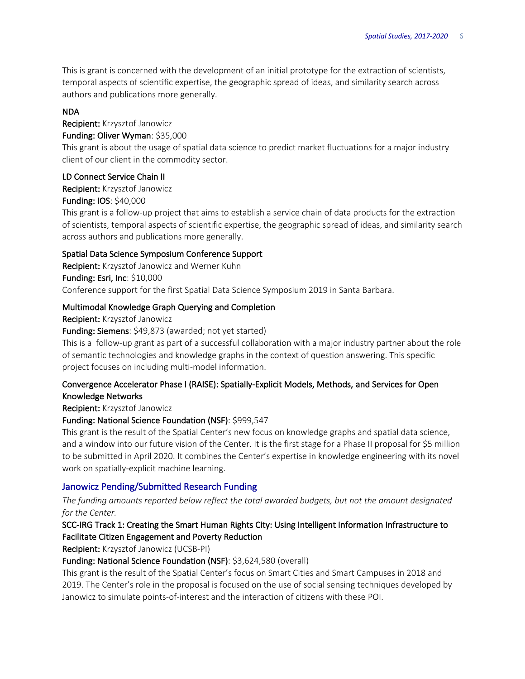This is grant is concerned with the development of an initial prototype for the extraction of scientists, temporal aspects of scientific expertise, the geographic spread of ideas, and similarity search across authors and publications more generally.

### NDA

Recipient: Krzysztof Janowicz

## Funding: Oliver Wyman: \$35,000

This grant is about the usage of spatial data science to predict market fluctuations for a major industry client of our client in the commodity sector.

## LD Connect Service Chain II

Recipient: Krzysztof Janowicz

## Funding: IOS: \$40,000

This grant is a follow-up project that aims to establish a service chain of data products for the extraction of scientists, temporal aspects of scientific expertise, the geographic spread of ideas, and similarity search across authors and publications more generally.

## Spatial Data Science Symposium Conference Support

Recipient: Krzysztof Janowicz and Werner Kuhn Funding: Esri, Inc: \$10,000 Conference support for the first Spatial Data Science Symposium 2019 in Santa Barbara.

## Multimodal Knowledge Graph Querying and Completion

Recipient: Krzysztof Janowicz

Funding: Siemens: \$49,873 (awarded; not yet started)

This is a follow-up grant as part of a successful collaboration with a major industry partner about the role of semantic technologies and knowledge graphs in the context of question answering. This specific project focuses on including multi-model information.

## Convergence Accelerator Phase I (RAISE): Spatially-Explicit Models, Methods, and Services for Open Knowledge Networks

Recipient: Krzysztof Janowicz

## Funding: National Science Foundation (NSF): \$999,547

This grant is the result of the Spatial Center's new focus on knowledge graphs and spatial data science, and a window into our future vision of the Center. It is the first stage for a Phase II proposal for \$5 million to be submitted in April 2020. It combines the Center's expertise in knowledge engineering with its novel work on spatially-explicit machine learning.

## Janowicz Pending/Submitted Research Funding

*The funding amounts reported below reflect the total awarded budgets, but not the amount designated for the Center.*

## SCC-IRG Track 1: Creating the Smart Human Rights City: Using Intelligent Information Infrastructure to Facilitate Citizen Engagement and Poverty Reduction

Recipient: Krzysztof Janowicz (UCSB-PI)

## Funding: National Science Foundation (NSF): \$3,624,580 (overall)

This grant is the result of the Spatial Center's focus on Smart Cities and Smart Campuses in 2018 and 2019. The Center's role in the proposal is focused on the use of social sensing techniques developed by Janowicz to simulate points-of-interest and the interaction of citizens with these POI.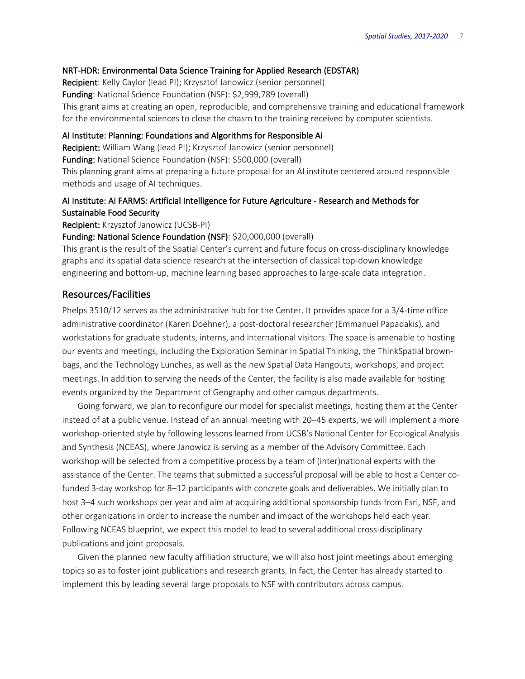### NRT-HDR: Environmental Data Science Training for Applied Research (EDSTAR)

Recipient: Kelly Caylor (lead PI); Krzysztof Janowicz (senior personnel) Funding: National Science Foundation (NSF): \$2,999,789 (overall) This grant aims at creating an open, reproducible, and comprehensive training and educational framework for the environmental sciences to close the chasm to the training received by computer scientists.

### AI Institute: Planning: Foundations and Algorithms for Responsible AI

Recipient: William Wang (lead PI); Krzysztof Janowicz (senior personnel)

Funding: National Science Foundation (NSF): \$500,000 (overall)

This planning grant aims at preparing a future proposal for an AI institute centered around responsible methods and usage of AI techniques.

## AI Institute: AI FARMS: Artificial Intelligence for Future Agriculture - Research and Methods for Sustainable Food Security

Recipient: Krzysztof Janowicz (UCSB-PI)

### Funding: National Science Foundation (NSF): \$20,000,000 (overall)

This grant is the result of the Spatial Center's current and future focus on cross-disciplinary knowledge graphs and its spatial data science research at the intersection of classical top-down knowledge engineering and bottom-up, machine learning based approaches to large-scale data integration.

### Resources/Facilities

Phelps 3510/12 serves as the administrative hub for the Center. It provides space for a 3/4-time office administrative coordinator (Karen Doehner), a post-doctoral researcher (Emmanuel Papadakis), and workstations for graduate students, interns, and international visitors. The space is amenable to hosting our events and meetings, including the Exploration Seminar in Spatial Thinking, the ThinkSpatial brownbags, and the Technology Lunches, as well as the new Spatial Data Hangouts, workshops, and project meetings. In addition to serving the needs of the Center, the facility is also made available for hosting events organized by the Department of Geography and other campus departments.

Going forward, we plan to reconfigure our model for specialist meetings, hosting them at the Center instead of at a public venue. Instead of an annual meeting with 20–45 experts, we will implement a more workshop-oriented style by following lessons learned from UCSB's National Center for Ecological Analysis and Synthesis (NCEAS), where Janowicz is serving as a member of the Advisory Committee. Each workshop will be selected from a competitive process by a team of (inter)national experts with the assistance of the Center. The teams that submitted a successful proposal will be able to host a Center cofunded 3-day workshop for 8–12 participants with concrete goals and deliverables. We initially plan to host 3–4 such workshops per year and aim at acquiring additional sponsorship funds from Esri, NSF, and other organizations in order to increase the number and impact of the workshops held each year. Following NCEAS blueprint, we expect this model to lead to several additional cross-disciplinary publications and joint proposals.

Given the planned new faculty affiliation structure, we will also host joint meetings about emerging topics so as to foster joint publications and research grants. In fact, the Center has already started to implement this by leading several large proposals to NSF with contributors across campus.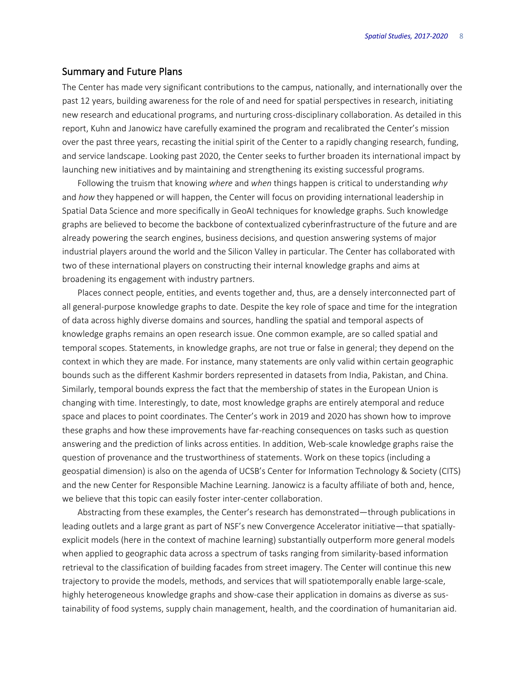### Summary and Future Plans

The Center has made very significant contributions to the campus, nationally, and internationally over the past 12 years, building awareness for the role of and need for spatial perspectives in research, initiating new research and educational programs, and nurturing cross-disciplinary collaboration. As detailed in this report, Kuhn and Janowicz have carefully examined the program and recalibrated the Center's mission over the past three years, recasting the initial spirit of the Center to a rapidly changing research, funding, and service landscape. Looking past 2020, the Center seeks to further broaden its international impact by launching new initiatives and by maintaining and strengthening its existing successful programs.

Following the truism that knowing *where* and *when* things happen is critical to understanding *why* and *how* they happened or will happen, the Center will focus on providing international leadership in Spatial Data Science and more specifically in GeoAI techniques for knowledge graphs. Such knowledge graphs are believed to become the backbone of contextualized cyberinfrastructure of the future and are already powering the search engines, business decisions, and question answering systems of major industrial players around the world and the Silicon Valley in particular. The Center has collaborated with two of these international players on constructing their internal knowledge graphs and aims at broadening its engagement with industry partners.

Places connect people, entities, and events together and, thus, are a densely interconnected part of all general-purpose knowledge graphs to date. Despite the key role of space and time for the integration of data across highly diverse domains and sources, handling the spatial and temporal aspects of knowledge graphs remains an open research issue. One common example, are so called spatial and temporal scopes. Statements, in knowledge graphs, are not true or false in general; they depend on the context in which they are made. For instance, many statements are only valid within certain geographic bounds such as the different Kashmir borders represented in datasets from India, Pakistan, and China. Similarly, temporal bounds express the fact that the membership of states in the European Union is changing with time. Interestingly, to date, most knowledge graphs are entirely atemporal and reduce space and places to point coordinates. The Center's work in 2019 and 2020 has shown how to improve these graphs and how these improvements have far-reaching consequences on tasks such as question answering and the prediction of links across entities. In addition, Web-scale knowledge graphs raise the question of provenance and the trustworthiness of statements. Work on these topics (including a geospatial dimension) is also on the agenda of UCSB's Center for Information Technology & Society (CITS) and the new Center for Responsible Machine Learning. Janowicz is a faculty affiliate of both and, hence, we believe that this topic can easily foster inter-center collaboration.

Abstracting from these examples, the Center's research has demonstrated—through publications in leading outlets and a large grant as part of NSF's new Convergence Accelerator initiative—that spatiallyexplicit models (here in the context of machine learning) substantially outperform more general models when applied to geographic data across a spectrum of tasks ranging from similarity-based information retrieval to the classification of building facades from street imagery. The Center will continue this new trajectory to provide the models, methods, and services that will spatiotemporally enable large-scale, highly heterogeneous knowledge graphs and show-case their application in domains as diverse as sustainability of food systems, supply chain management, health, and the coordination of humanitarian aid.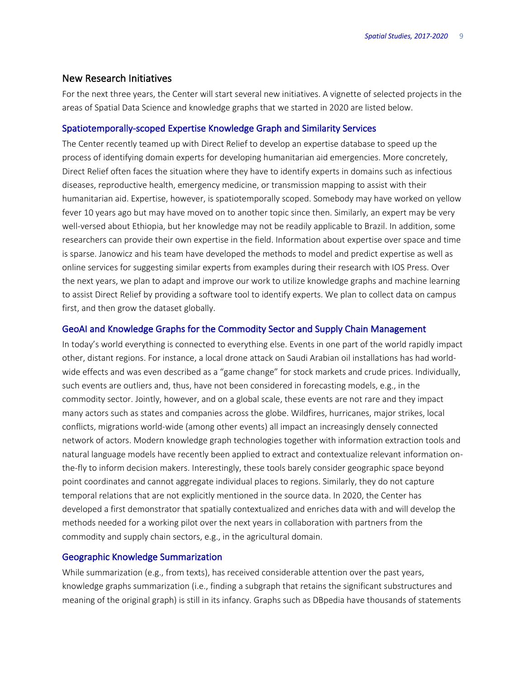### New Research Initiatives

For the next three years, the Center will start several new initiatives. A vignette of selected projects in the areas of Spatial Data Science and knowledge graphs that we started in 2020 are listed below.

### Spatiotemporally-scoped Expertise Knowledge Graph and Similarity Services

The Center recently teamed up with Direct Relief to develop an expertise database to speed up the process of identifying domain experts for developing humanitarian aid emergencies. More concretely, Direct Relief often faces the situation where they have to identify experts in domains such as infectious diseases, reproductive health, emergency medicine, or transmission mapping to assist with their humanitarian aid. Expertise, however, is spatiotemporally scoped. Somebody may have worked on yellow fever 10 years ago but may have moved on to another topic since then. Similarly, an expert may be very well-versed about Ethiopia, but her knowledge may not be readily applicable to Brazil. In addition, some researchers can provide their own expertise in the field. Information about expertise over space and time is sparse. Janowicz and his team have developed the methods to model and predict expertise as well as online services for suggesting similar experts from examples during their research with IOS Press. Over the next years, we plan to adapt and improve our work to utilize knowledge graphs and machine learning to assist Direct Relief by providing a software tool to identify experts. We plan to collect data on campus first, and then grow the dataset globally.

### GeoAI and Knowledge Graphs for the Commodity Sector and Supply Chain Management

In today's world everything is connected to everything else. Events in one part of the world rapidly impact other, distant regions. For instance, a local drone attack on Saudi Arabian oil installations has had worldwide effects and was even described as a "game change" for stock markets and crude prices. Individually, such events are outliers and, thus, have not been considered in forecasting models, e.g., in the commodity sector. Jointly, however, and on a global scale, these events are not rare and they impact many actors such as states and companies across the globe. Wildfires, hurricanes, major strikes, local conflicts, migrations world-wide (among other events) all impact an increasingly densely connected network of actors. Modern knowledge graph technologies together with information extraction tools and natural language models have recently been applied to extract and contextualize relevant information onthe-fly to inform decision makers. Interestingly, these tools barely consider geographic space beyond point coordinates and cannot aggregate individual places to regions. Similarly, they do not capture temporal relations that are not explicitly mentioned in the source data. In 2020, the Center has developed a first demonstrator that spatially contextualized and enriches data with and will develop the methods needed for a working pilot over the next years in collaboration with partners from the commodity and supply chain sectors, e.g., in the agricultural domain.

### Geographic Knowledge Summarization

While summarization (e.g., from texts), has received considerable attention over the past years, knowledge graphs summarization (i.e., finding a subgraph that retains the significant substructures and meaning of the original graph) is still in its infancy. Graphs such as DBpedia have thousands of statements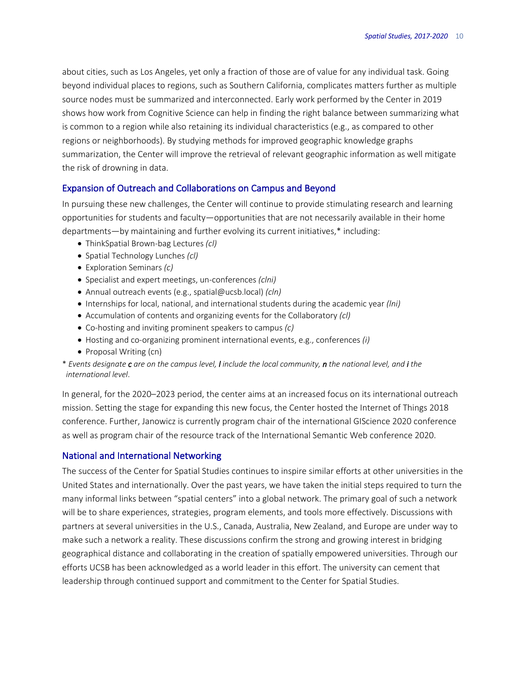about cities, such as Los Angeles, yet only a fraction of those are of value for any individual task. Going beyond individual places to regions, such as Southern California, complicates matters further as multiple source nodes must be summarized and interconnected. Early work performed by the Center in 2019 shows how work from Cognitive Science can help in finding the right balance between summarizing what is common to a region while also retaining its individual characteristics (e.g., as compared to other regions or neighborhoods). By studying methods for improved geographic knowledge graphs summarization, the Center will improve the retrieval of relevant geographic information as well mitigate the risk of drowning in data.

### Expansion of Outreach and Collaborations on Campus and Beyond

In pursuing these new challenges, the Center will continue to provide stimulating research and learning opportunities for students and faculty—opportunities that are not necessarily available in their home departments—by maintaining and further evolving its current initiatives,\* including:

- ThinkSpatial Brown-bag Lectures *(cl)*
- Spatial Technology Lunches *(cl)*
- Exploration Seminars *(c)*
- Specialist and expert meetings, un-conferences *(clni)*
- Annual outreach events (e.g., spatial@ucsb.local) *(cln)*
- Internships for local, national, and international students during the academic year *(lni)*
- Accumulation of contents and organizing events for the Collaboratory *(cl)*
- Co-hosting and inviting prominent speakers to campus *(c)*
- Hosting and co-organizing prominent international events, e.g., conferences *(i)*
- Proposal Writing (cn)

\* *Events designate c are on the campus level, l include the local community, n the national level, and i the international level*.

In general, for the 2020–2023 period, the center aims at an increased focus on its international outreach mission. Setting the stage for expanding this new focus, the Center hosted the Internet of Things 2018 conference. Further, Janowicz is currently program chair of the international GIScience 2020 conference as well as program chair of the resource track of the International Semantic Web conference 2020.

#### National and International Networking

The success of the Center for Spatial Studies continues to inspire similar efforts at other universities in the United States and internationally. Over the past years, we have taken the initial steps required to turn the many informal links between "spatial centers" into a global network. The primary goal of such a network will be to share experiences, strategies, program elements, and tools more effectively. Discussions with partners at several universities in the U.S., Canada, Australia, New Zealand, and Europe are under way to make such a network a reality. These discussions confirm the strong and growing interest in bridging geographical distance and collaborating in the creation of spatially empowered universities. Through our efforts UCSB has been acknowledged as a world leader in this effort. The university can cement that leadership through continued support and commitment to the Center for Spatial Studies.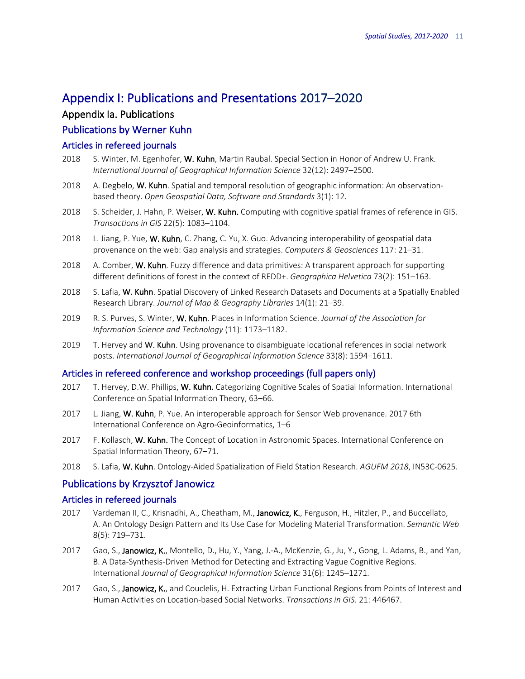## Appendix I: Publications and Presentations 2017–2020

## Appendix Ia. Publications

## Publications by Werner Kuhn

### Articles in refereed journals

- 2018 S. Winter, M. Egenhofer, W. Kuhn, Martin Raubal. Special Section in Honor of Andrew U. Frank. *International Journal of Geographical Information Science* 32(12): 2497–2500.
- 2018 A. Degbelo, W. Kuhn. Spatial and temporal resolution of geographic information: An observationbased theory. *Open Geospatial Data, Software and Standards* 3(1): 12.
- 2018 S. Scheider, J. Hahn, P. Weiser, W. Kuhn. Computing with cognitive spatial frames of reference in GIS. *Transactions in GIS* 22(5): 1083–1104.
- 2018 L. Jiang, P. Yue, W. Kuhn, C. Zhang, C. Yu, X. Guo. Advancing interoperability of geospatial data provenance on the web: Gap analysis and strategies. *Computers & Geosciences* 117: 21–31.
- 2018 A. Comber, W. Kuhn. Fuzzy difference and data primitives: A transparent approach for supporting different definitions of forest in the context of REDD+. *Geographica Helvetica* 73(2): 151–163.
- 2018 S. Lafia, W. Kuhn. Spatial Discovery of Linked Research Datasets and Documents at a Spatially Enabled Research Library. *Journal of Map & Geography Libraries* 14(1): 21–39.
- 2019 R. S. Purves, S. Winter, W. Kuhn. Places in Information Science. *Journal of the Association for Information Science and Technology* (11): 1173–1182.
- 2019 T. Hervey and W. Kuhn. Using provenance to disambiguate locational references in social network posts. *International Journal of Geographical Information Science* 33(8): 1594–1611.

### Articles in refereed conference and workshop proceedings (full papers only)

- 2017 T. Hervey, D.W. Phillips, W. Kuhn. Categorizing Cognitive Scales of Spatial Information. International Conference on Spatial Information Theory, 63–66.
- 2017 L. Jiang, W. Kuhn, P. Yue. An interoperable approach for Sensor Web provenance. 2017 6th International Conference on Agro-Geoinformatics, 1–6
- 2017 F. Kollasch, W. Kuhn. The Concept of Location in Astronomic Spaces. International Conference on Spatial Information Theory, 67–71.
- 2018 S. Lafia, W. Kuhn. Ontology-Aided Spatialization of Field Station Research. *AGUFM 2018*, IN53C-0625.

### Publications by Krzysztof Janowicz

### Articles in refereed journals

- 2017 Vardeman II, C., Krisnadhi, A., Cheatham, M., Janowicz, K., Ferguson, H., Hitzler, P., and Buccellato, A. An Ontology Design Pattern and Its Use Case for Modeling Material Transformation. *Semantic Web* 8(5): 719–731.
- 2017 Gao, S., Janowicz, K., Montello, D., Hu, Y., Yang, J.-A., McKenzie, G., Ju, Y., Gong, L. Adams, B., and Yan, B. A Data-Synthesis-Driven Method for Detecting and Extracting Vague Cognitive Regions. International *Journal of Geographical Information Science* 31(6): 1245–1271.
- 2017 Gao, S., Janowicz, K., and Couclelis, H. Extracting Urban Functional Regions from Points of Interest and Human Activities on Location-based Social Networks. *Transactions in GIS*. 21: 446467.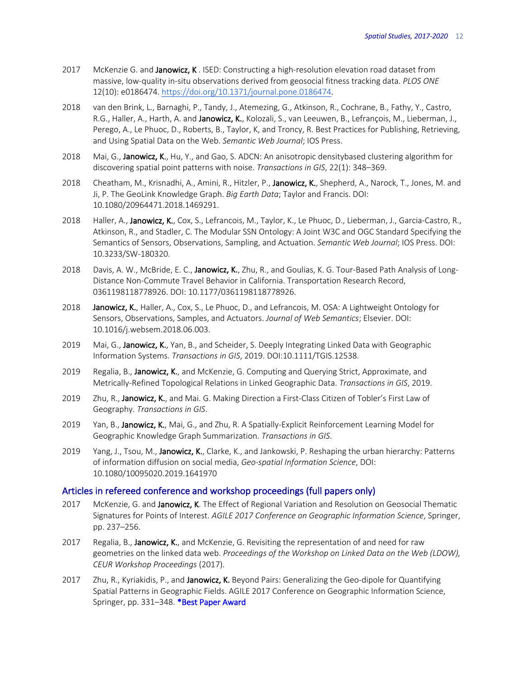- 2017 McKenzie G. and Janowicz, K. ISED: Constructing a high-resolution elevation road dataset from massive, low-quality in-situ observations derived from geosocial fitness tracking data. *PLOS ONE* 12(10): e0186474. https://doi.org/10.1371/journal.pone.0186474.
- 2018 van den Brink, L., Barnaghi, P., Tandy, J., Atemezing, G., Atkinson, R., Cochrane, B., Fathy, Y., Castro, R.G., Haller, A., Harth, A. and Janowicz, K., Kolozali, S., van Leeuwen, B., Lefrançois, M., Lieberman, J., Perego, A., Le Phuoc, D., Roberts, B., Taylor, K, and Troncy, R. Best Practices for Publishing, Retrieving, and Using Spatial Data on the Web. *Semantic Web Journal*; IOS Press.
- 2018 Mai, G., Janowicz, K., Hu, Y., and Gao, S. ADCN: An anisotropic densitybased clustering algorithm for discovering spatial point patterns with noise. *Transactions in GIS*, 22(1): 348–369.
- 2018 Cheatham, M., Krisnadhi, A., Amini, R., Hitzler, P., Janowicz, K., Shepherd, A., Narock, T., Jones, M. and Ji, P. The GeoLink Knowledge Graph. *Big Earth Data*; Taylor and Francis. DOI: 10.1080/20964471.2018.1469291.
- 2018 Haller, A., Janowicz, K., Cox, S., Lefrancois, M., Taylor, K., Le Phuoc, D., Lieberman, J., Garcia-Castro, R., Atkinson, R., and Stadler, C. The Modular SSN Ontology: A Joint W3C and OGC Standard Specifying the Semantics of Sensors, Observations, Sampling, and Actuation. *Semantic Web Journal*; IOS Press. DOI: 10.3233/SW-180320.
- 2018 Davis, A. W., McBride, E. C., Janowicz, K., Zhu, R., and Goulias, K. G. Tour-Based Path Analysis of Long-Distance Non-Commute Travel Behavior in California. Transportation Research Record, 0361198118778926. DOI: 10.1177/0361198118778926.
- 2018 Janowicz, K., Haller, A., Cox, S., Le Phuoc, D., and Lefrancois, M. OSA: A Lightweight Ontology for Sensors, Observations, Samples, and Actuators. *Journal of Web Semantics*; Elsevier. DOI: 10.1016/j.websem.2018.06.003.
- 2019 Mai, G., Janowicz, K., Yan, B., and Scheider, S. Deeply Integrating Linked Data with Geographic Information Systems. *Transactions in GIS*, 2019. DOI:10.1111/TGIS.12538.
- 2019 Regalia, B., Janowicz, K., and McKenzie, G. Computing and Querying Strict, Approximate, and Metrically-Refined Topological Relations in Linked Geographic Data. *Transactions in GIS*, 2019.
- 2019 Zhu, R., Janowicz, K., and Mai. G. Making Direction a First-Class Citizen of Tobler's First Law of Geography. *Transactions in GIS*.
- 2019 Yan, B., Janowicz, K., Mai, G., and Zhu, R. A Spatially-Explicit Reinforcement Learning Model for Geographic Knowledge Graph Summarization. *Transactions in GIS*.
- 2019 Yang, J., Tsou, M., Janowicz, K., Clarke, K., and Jankowski, P. Reshaping the urban hierarchy: Patterns of information diffusion on social media, *Geo-spatial Information Science*, DOI: 10.1080/10095020.2019.1641970

### Articles in refereed conference and workshop proceedings (full papers only)

- 2017 McKenzie, G. and Janowicz, K. The Effect of Regional Variation and Resolution on Geosocial Thematic Signatures for Points of Interest. *AGILE 2017 Conference on Geographic Information Science*, Springer, pp. 237–256.
- 2017 Regalia, B., Janowicz, K., and McKenzie, G. Revisiting the representation of and need for raw geometries on the linked data web. *Proceedings of the Workshop on Linked Data on the Web (LDOW), CEUR Workshop Proceedings* (2017).
- 2017 Zhu, R., Kyriakidis, P., and Janowicz, K. Beyond Pairs: Generalizing the Geo-dipole for Quantifying Spatial Patterns in Geographic Fields. AGILE 2017 Conference on Geographic Information Science, Springer, pp. 331-348. \*Best Paper Award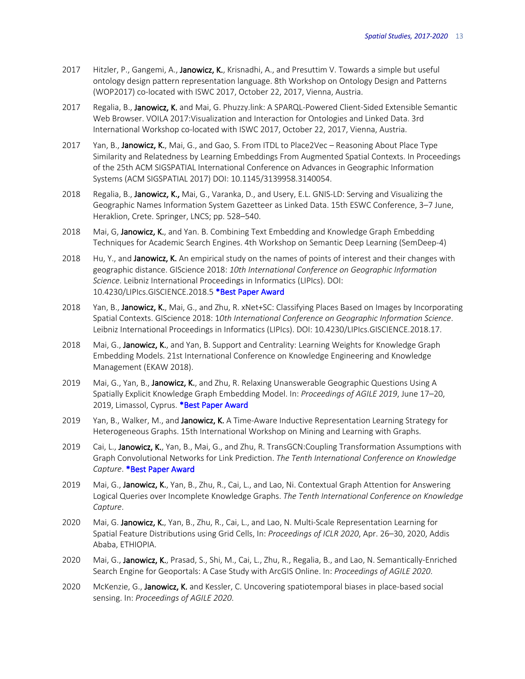- 2017 Hitzler, P., Gangemi, A., Janowicz, K., Krisnadhi, A., and Presuttim V. Towards a simple but useful ontology design pattern representation language. 8th Workshop on Ontology Design and Patterns (WOP2017) co-located with ISWC 2017, October 22, 2017, Vienna, Austria.
- 2017 Regalia, B., Janowicz, K. and Mai, G. Phuzzy.link: A SPARQL-Powered Client-Sided Extensible Semantic Web Browser. VOILA 2017:Visualization and Interaction for Ontologies and Linked Data. 3rd International Workshop co-located with ISWC 2017, October 22, 2017, Vienna, Austria.
- 2017 Yan, B., Janowicz, K., Mai, G., and Gao, S. From ITDL to Place2Vec Reasoning About Place Type Similarity and Relatedness by Learning Embeddings From Augmented Spatial Contexts. In Proceedings of the 25th ACM SIGSPATIAL International Conference on Advances in Geographic Information Systems (ACM SIGSPATIAL 2017) DOI: 10.1145/3139958.3140054.
- 2018 Regalia, B., Janowicz, K., Mai, G., Varanka, D., and Usery, E.L. GNIS-LD: Serving and Visualizing the Geographic Names Information System Gazetteer as Linked Data. 15th ESWC Conference, 3–7 June, Heraklion, Crete. Springer, LNCS; pp. 528–540.
- 2018 Mai, G, Janowicz, K., and Yan. B. Combining Text Embedding and Knowledge Graph Embedding Techniques for Academic Search Engines. 4th Workshop on Semantic Deep Learning (SemDeep-4)
- 2018 Hu, Y., and Janowicz, K. An empirical study on the names of points of interest and their changes with geographic distance. GIScience 2018: *10th International Conference on Geographic Information Science*. Leibniz International Proceedings in Informatics (LIPIcs). DOI: 10.4230/LIPIcs.GISCIENCE.2018.5 \*Best Paper Award
- 2018 Yan, B., Janowicz, K., Mai, G., and Zhu, R. xNet+SC: Classifying Places Based on Images by Incorporating Spatial Contexts. GIScience 2018: 1*0th International Conference on Geographic Information Science*. Leibniz International Proceedings in Informatics (LIPIcs). DOI: 10.4230/LIPIcs.GISCIENCE.2018.17.
- 2018 Mai, G., Janowicz, K., and Yan, B. Support and Centrality: Learning Weights for Knowledge Graph Embedding Models. 21st International Conference on Knowledge Engineering and Knowledge Management (EKAW 2018).
- 2019 Mai, G., Yan, B., Janowicz, K., and Zhu, R. Relaxing Unanswerable Geographic Questions Using A Spatially Explicit Knowledge Graph Embedding Model. In: *Proceedings of AGILE 2019*, June 17–20, 2019, Limassol, Cyprus. \*Best Paper Award
- 2019 Yan, B., Walker, M., and Janowicz, K. A Time-Aware Inductive Representation Learning Strategy for Heterogeneous Graphs. 15th International Workshop on Mining and Learning with Graphs.
- 2019 Cai, L., Janowicz, K., Yan, B., Mai, G., and Zhu, R. TransGCN: Coupling Transformation Assumptions with Graph Convolutional Networks for Link Prediction. *The Tenth International Conference on Knowledge Capture*. \*Best Paper Award
- 2019 Mai, G., Janowicz, K., Yan, B., Zhu, R., Cai, L., and Lao, Ni. Contextual Graph Attention for Answering Logical Queries over Incomplete Knowledge Graphs. *The Tenth International Conference on Knowledge Capture*.
- 2020 Mai, G. Janowicz, K., Yan, B., Zhu, R., Cai, L., and Lao, N. Multi-Scale Representation Learning for Spatial Feature Distributions using Grid Cells, In: *Proceedings of ICLR 2020*, Apr. 26–30, 2020, Addis Ababa, ETHIOPIA.
- 2020 Mai, G., Janowicz, K., Prasad, S., Shi, M., Cai, L., Zhu, R., Regalia, B., and Lao, N. Semantically-Enriched Search Engine for Geoportals: A Case Study with ArcGIS Online. In: *Proceedings of AGILE 2020*.
- 2020 McKenzie, G., Janowicz, K. and Kessler, C. Uncovering spatiotemporal biases in place-based social sensing. In: *Proceedings of AGILE 2020*.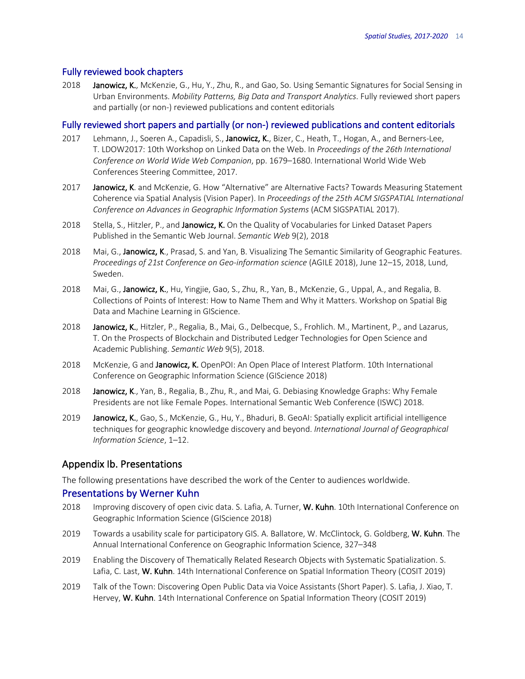### Fully reviewed book chapters

2018 Janowicz, K., McKenzie, G., Hu, Y., Zhu, R., and Gao, So. Using Semantic Signatures for Social Sensing in Urban Environments. *Mobility Patterns, Big Data and Transport Analytics*. Fully reviewed short papers and partially (or non-) reviewed publications and content editorials

### Fully reviewed short papers and partially (or non-) reviewed publications and content editorials

- 2017 Lehmann, J., Soeren A., Capadisli, S., Janowicz, K., Bizer, C., Heath, T., Hogan, A., and Berners-Lee, T. LDOW2017: 10th Workshop on Linked Data on the Web. In *Proceedings of the 26th International Conference on World Wide Web Companion*, pp. 1679–1680. International World Wide Web Conferences Steering Committee, 2017.
- 2017 Janowicz, K. and McKenzie, G. How "Alternative" are Alternative Facts? Towards Measuring Statement Coherence via Spatial Analysis (Vision Paper). In *Proceedings of the 25th ACM SIGSPATIAL International Conference on Advances in Geographic Information Systems* (ACM SIGSPATIAL 2017).
- 2018 Stella, S., Hitzler, P., and Janowicz, K. On the Quality of Vocabularies for Linked Dataset Papers Published in the Semantic Web Journal. *Semantic Web* 9(2), 2018
- 2018 Mai, G., Janowicz, K., Prasad, S. and Yan, B. Visualizing The Semantic Similarity of Geographic Features. *Proceedings of 21st Conference on Geo-information science* (AGILE 2018), June 12–15, 2018, Lund, Sweden.
- 2018 Mai, G., Janowicz, K., Hu, Yingjie, Gao, S., Zhu, R., Yan, B., McKenzie, G., Uppal, A., and Regalia, B. Collections of Points of Interest: How to Name Them and Why it Matters. Workshop on Spatial Big Data and Machine Learning in GIScience.
- 2018 Janowicz, K., Hitzler, P., Regalia, B., Mai, G., Delbecque, S., Frohlich. M., Martinent, P., and Lazarus, T. On the Prospects of Blockchain and Distributed Ledger Technologies for Open Science and Academic Publishing. *Semantic Web* 9(5), 2018.
- 2018 McKenzie, G and Janowicz, K. OpenPOI: An Open Place of Interest Platform. 10th International Conference on Geographic Information Science (GIScience 2018)
- 2018 Janowicz, K., Yan, B., Regalia, B., Zhu, R., and Mai, G. Debiasing Knowledge Graphs: Why Female Presidents are not like Female Popes. International Semantic Web Conference (ISWC) 2018.
- 2019 Janowicz, K., Gao, S., McKenzie, G., Hu, Y., Bhaduri, B. GeoAI: Spatially explicit artificial intelligence techniques for geographic knowledge discovery and beyond. *International Journal of Geographical Information Science*, 1–12.

### Appendix Ib. Presentations

The following presentations have described the work of the Center to audiences worldwide.

### Presentations by Werner Kuhn

- 2018 Improving discovery of open civic data. S. Lafia, A. Turner, W. Kuhn. 10th International Conference on Geographic Information Science (GIScience 2018)
- 2019 Towards a usability scale for participatory GIS. A. Ballatore, W. McClintock, G. Goldberg, W. Kuhn. The Annual International Conference on Geographic Information Science, 327–348
- 2019 Enabling the Discovery of Thematically Related Research Objects with Systematic Spatialization. S. Lafia, C. Last, W. Kuhn. 14th International Conference on Spatial Information Theory (COSIT 2019)
- 2019 Talk of the Town: Discovering Open Public Data via Voice Assistants (Short Paper). S. Lafia, J. Xiao, T. Hervey, W. Kuhn. 14th International Conference on Spatial Information Theory (COSIT 2019)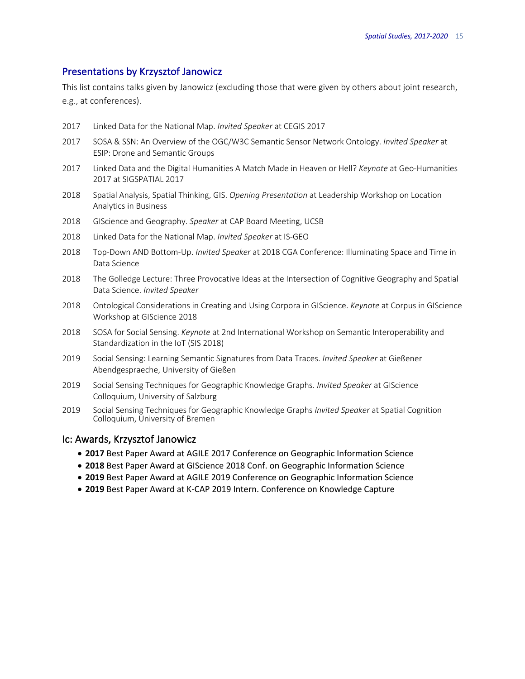### Presentations by Krzysztof Janowicz

This list contains talks given by Janowicz (excluding those that were given by others about joint research, e.g., at conferences).

- 2017 Linked Data for the National Map. *Invited Speaker* at CEGIS 2017
- 2017 SOSA & SSN: An Overview of the OGC/W3C Semantic Sensor Network Ontology. *Invited Speaker* at ESIP: Drone and Semantic Groups
- 2017 Linked Data and the Digital Humanities A Match Made in Heaven or Hell? *Keynote* at Geo-Humanities 2017 at SIGSPATIAL 2017
- 2018 Spatial Analysis, Spatial Thinking, GIS. *Opening Presentation* at Leadership Workshop on Location Analytics in Business
- 2018 GIScience and Geography. *Speaker* at CAP Board Meeting, UCSB
- 2018 Linked Data for the National Map. *Invited Speaker* at IS-GEO
- 2018 Top-Down AND Bottom-Up. *Invited Speaker* at 2018 CGA Conference: Illuminating Space and Time in Data Science
- 2018 The Golledge Lecture: Three Provocative Ideas at the Intersection of Cognitive Geography and Spatial Data Science. *Invited Speaker*
- 2018 Ontological Considerations in Creating and Using Corpora in GIScience. *Keynote* at Corpus in GIScience Workshop at GIScience 2018
- 2018 SOSA for Social Sensing. *Keynote* at 2nd International Workshop on Semantic Interoperability and Standardization in the IoT (SIS 2018)
- 2019 Social Sensing: Learning Semantic Signatures from Data Traces. *Invited Speaker* at Gießener Abendgespraeche, University of Gießen
- 2019 Social Sensing Techniques for Geographic Knowledge Graphs. *Invited Speaker* at GIScience Colloquium, University of Salzburg
- 2019 Social Sensing Techniques for Geographic Knowledge Graphs *Invited Speaker* at Spatial Cognition Colloquium, University of Bremen

### Ic: Awards, Krzysztof Janowicz

- **2017** Best Paper Award at AGILE 2017 Conference on Geographic Information Science
- **2018** Best Paper Award at GIScience 2018 Conf. on Geographic Information Science
- **2019** Best Paper Award at AGILE 2019 Conference on Geographic Information Science
- **2019** Best Paper Award at K-CAP 2019 Intern. Conference on Knowledge Capture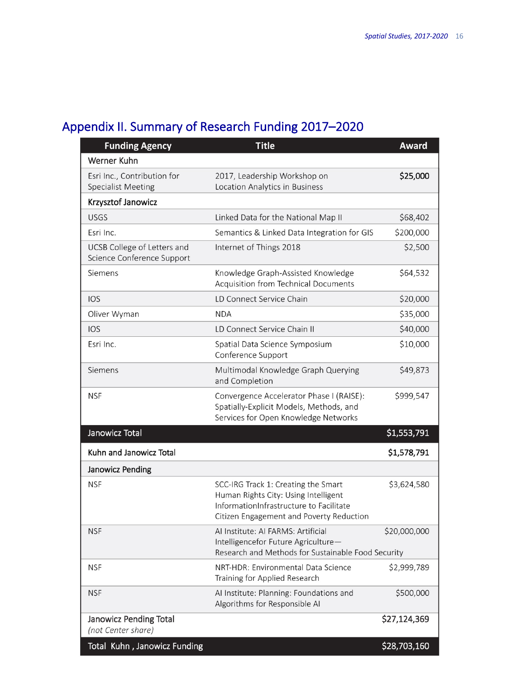# Appendix II. Summary of Research Funding 2017–2020

| <b>Funding Agency</b>                                     | <b>Title</b>                                                                                                                                                       | <b>Award</b> |
|-----------------------------------------------------------|--------------------------------------------------------------------------------------------------------------------------------------------------------------------|--------------|
| <b>Werner Kuhn</b>                                        |                                                                                                                                                                    |              |
| Esri Inc., Contribution for<br><b>Specialist Meeting</b>  | 2017, Leadership Workshop on<br>Location Analytics in Business                                                                                                     | \$25,000     |
| Krzysztof Janowicz                                        |                                                                                                                                                                    |              |
| <b>USGS</b>                                               | Linked Data for the National Map II                                                                                                                                | \$68,402     |
| Esri Inc.                                                 | Semantics & Linked Data Integration for GIS                                                                                                                        | \$200,000    |
| UCSB College of Letters and<br>Science Conference Support | Internet of Things 2018                                                                                                                                            | \$2,500      |
| Siemens                                                   | Knowledge Graph-Assisted Knowledge<br>Acquisition from Technical Documents                                                                                         | \$64,532     |
| <b>IOS</b>                                                | LD Connect Service Chain                                                                                                                                           | \$20,000     |
| Oliver Wyman                                              | <b>NDA</b>                                                                                                                                                         | \$35,000     |
| <b>IOS</b>                                                | LD Connect Service Chain II                                                                                                                                        | \$40,000     |
| Esri Inc.                                                 | Spatial Data Science Symposium<br>Conference Support                                                                                                               | \$10,000     |
| Siemens                                                   | Multimodal Knowledge Graph Querying<br>and Completion                                                                                                              | \$49,873     |
| <b>NSF</b>                                                | Convergence Accelerator Phase I (RAISE):<br>Spatially-Explicit Models, Methods, and<br>Services for Open Knowledge Networks                                        | \$999,547    |
| Janowicz Total                                            |                                                                                                                                                                    | \$1,553,791  |
| Kuhn and Janowicz Total                                   |                                                                                                                                                                    | \$1,578,791  |
| Janowicz Pending                                          |                                                                                                                                                                    |              |
| <b>NSF</b>                                                | SCC-IRG Track 1: Creating the Smart<br>Human Rights City: Using Intelligent<br>InformationInfrastructure to Facilitate<br>Citizen Engagement and Poverty Reduction | \$3,624,580  |
| <b>NSF</b>                                                | Al Institute: Al FARMS: Artificial<br>Intelligencefor Future Agriculture-<br>Research and Methods for Sustainable Food Security                                    | \$20,000,000 |
| <b>NSF</b>                                                | NRT-HDR: Environmental Data Science<br>Training for Applied Research                                                                                               | \$2,999,789  |
| <b>NSF</b>                                                | Al Institute: Planning: Foundations and<br>Algorithms for Responsible AI                                                                                           | \$500,000    |
| Janowicz Pending Total<br>(not Center share)              |                                                                                                                                                                    | \$27,124,369 |
| Total Kuhn, Janowicz Funding                              |                                                                                                                                                                    | \$28,703,160 |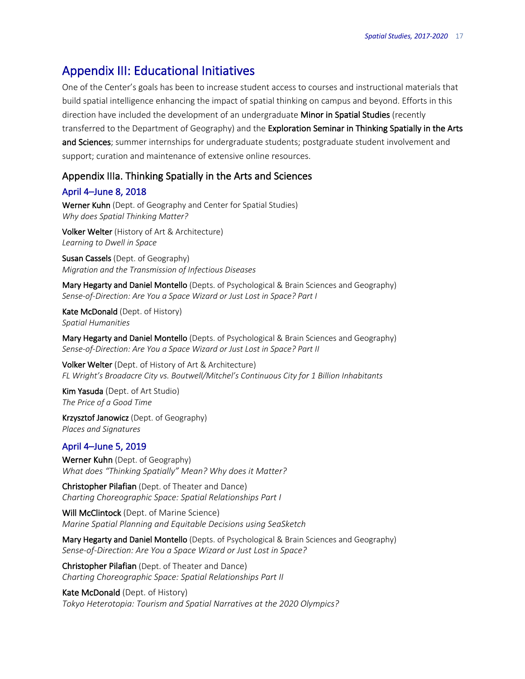## Appendix III: Educational Initiatives

One of the Center's goals has been to increase student access to courses and instructional materials that build spatial intelligence enhancing the impact of spatial thinking on campus and beyond. Efforts in this direction have included the development of an undergraduate Minor in Spatial Studies (recently transferred to the Department of Geography) and the Exploration Seminar in Thinking Spatially in the Arts and Sciences; summer internships for undergraduate students; postgraduate student involvement and support; curation and maintenance of extensive online resources.

## Appendix IIIa. Thinking Spatially in the Arts and Sciences

## April 4–June 8, 2018

Werner Kuhn (Dept. of Geography and Center for Spatial Studies) *Why does Spatial Thinking Matter?*

Volker Welter (History of Art & Architecture) *Learning to Dwell in Space*

Susan Cassels (Dept. of Geography) *Migration and the Transmission of Infectious Diseases*

Mary Hegarty and Daniel Montello (Depts. of Psychological & Brain Sciences and Geography) *Sense-of-Direction: Are You a Space Wizard or Just Lost in Space? Part I*

Kate McDonald (Dept. of History) *Spatial Humanities*

Mary Hegarty and Daniel Montello (Depts. of Psychological & Brain Sciences and Geography) *Sense-of-Direction: Are You a Space Wizard or Just Lost in Space? Part II*

Volker Welter (Dept. of History of Art & Architecture) *FL Wright's Broadacre City vs. Boutwell/Mitchel's Continuous City for 1 Billion Inhabitants*

Kim Yasuda (Dept. of Art Studio) *The Price of a Good Time*

Krzysztof Janowicz (Dept. of Geography) *Places and Signatures*

## April 4–June 5, 2019

Werner Kuhn (Dept. of Geography) *What does "Thinking Spatially" Mean? Why does it Matter?*

Christopher Pilafian (Dept. of Theater and Dance) *Charting Choreographic Space: Spatial Relationships Part I*

Will McClintock (Dept. of Marine Science) *Marine Spatial Planning and Equitable Decisions using SeaSketch*

Mary Hegarty and Daniel Montello (Depts. of Psychological & Brain Sciences and Geography) *Sense-of-Direction: Are You a Space Wizard or Just Lost in Space?*

Christopher Pilafian (Dept. of Theater and Dance) *Charting Choreographic Space: Spatial Relationships Part II*

Kate McDonald (Dept. of History) *Tokyo Heterotopia: Tourism and Spatial Narratives at the 2020 Olympics?*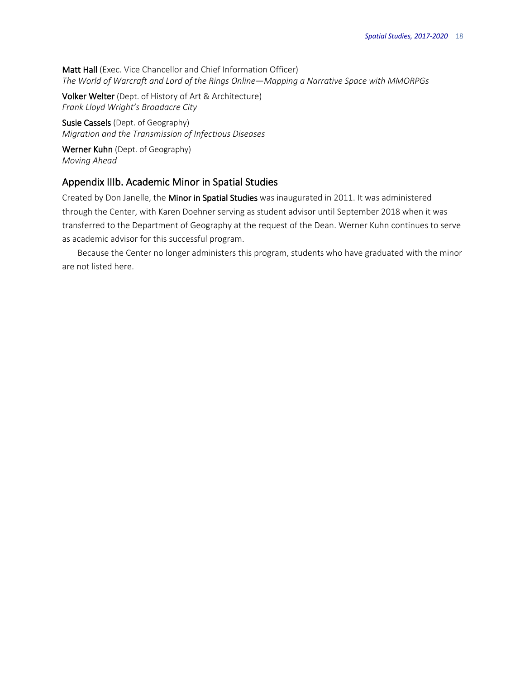Matt Hall (Exec. Vice Chancellor and Chief Information Officer) *The World of Warcraft and Lord of the Rings Online—Mapping a Narrative Space with MMORPGs* 

Volker Welter (Dept. of History of Art & Architecture) *Frank Lloyd Wright's Broadacre City*

Susie Cassels (Dept. of Geography) *Migration and the Transmission of Infectious Diseases*

Werner Kuhn (Dept. of Geography) *Moving Ahead*

## Appendix IIIb. Academic Minor in Spatial Studies

Created by Don Janelle, the Minor in Spatial Studies was inaugurated in 2011. It was administered through the Center, with Karen Doehner serving as student advisor until September 2018 when it was transferred to the Department of Geography at the request of the Dean. Werner Kuhn continues to serve as academic advisor for this successful program.

Because the Center no longer administers this program, students who have graduated with the minor are not listed here.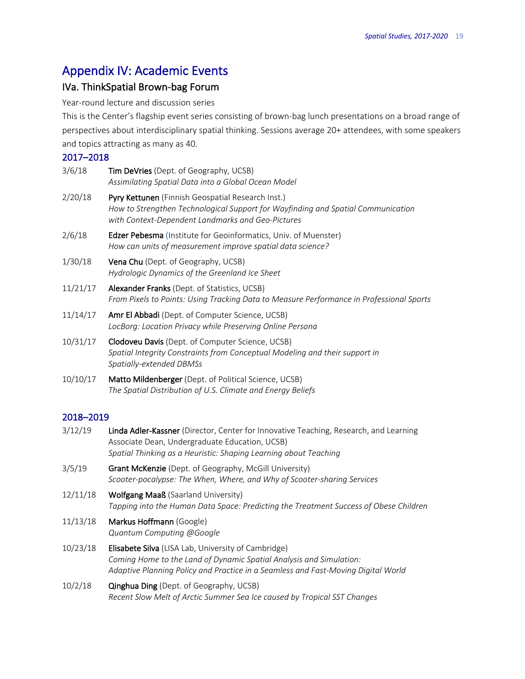## Appendix IV: Academic Events

## IVa. ThinkSpatial Brown-bag Forum

Year-round lecture and discussion series

This is the Center's flagship event series consisting of brown-bag lunch presentations on a broad range of perspectives about interdisciplinary spatial thinking. Sessions average 20+ attendees, with some speakers and topics attracting as many as 40.

## 2017–2018

| 3/6/18 | <b>Tim DeVries</b> (Dept. of Geography, UCSB)       |  |
|--------|-----------------------------------------------------|--|
|        | Assimilatina Spatial Data into a Global Ocean Model |  |

- 2/20/18 Pyry Kettunen (Finnish Geospatial Research Inst.) *How to Strengthen Technological Support for Wayfinding and Spatial Communication with Context-Dependent Landmarks and Geo-Pictures*
- 2/6/18 **Edzer Pebesma** (Institute for Geoinformatics, Univ. of Muenster) *How can units of measurement improve spatial data science?*
- 1/30/18 Vena Chu (Dept. of Geography, UCSB) *Hydrologic Dynamics of the Greenland Ice Sheet*
- 11/21/17 Alexander Franks (Dept. of Statistics, UCSB) *From Pixels to Points: Using Tracking Data to Measure Performance in Professional Sports*
- 11/14/17 Amr El Abbadi (Dept. of Computer Science, UCSB) *LocBorg: Location Privacy while Preserving Online Persona*
- 10/31/17 Clodoveu Davis (Dept. of Computer Science, UCSB) *Spatial Integrity Constraints from Conceptual Modeling and their support in Spatially-extended DBMSs*
- 10/10/17 Matto Mildenberger (Dept. of Political Science, UCSB) *The Spatial Distribution of U.S. Climate and Energy Beliefs*

## 2018–2019

| 3/12/19  | Linda Adler-Kassner (Director, Center for Innovative Teaching, Research, and Learning<br>Associate Dean, Undergraduate Education, UCSB)<br>Spatial Thinking as a Heuristic: Shaping Learning about Teaching     |
|----------|-----------------------------------------------------------------------------------------------------------------------------------------------------------------------------------------------------------------|
| 3/5/19   | Grant McKenzie (Dept. of Geography, McGill University)<br>Scooter-pocalypse: The When, Where, and Why of Scooter-sharing Services                                                                               |
| 12/11/18 | <b>Wolfgang Maaß</b> (Saarland University)<br>Tapping into the Human Data Space: Predicting the Treatment Success of Obese Children                                                                             |
| 11/13/18 | Markus Hoffmann (Google)<br>Quantum Computing @Google                                                                                                                                                           |
| 10/23/18 | Elisabete Silva (LISA Lab, University of Cambridge)<br>Coming Home to the Land of Dynamic Spatial Analysis and Simulation:<br>Adaptive Planning Policy and Practice in a Seamless and Fast-Moving Digital World |
| 10/2/18  | <b>Qinghua Ding</b> (Dept. of Geography, UCSB)<br>Recent Slow Melt of Arctic Summer Sea Ice caused by Tropical SST Changes                                                                                      |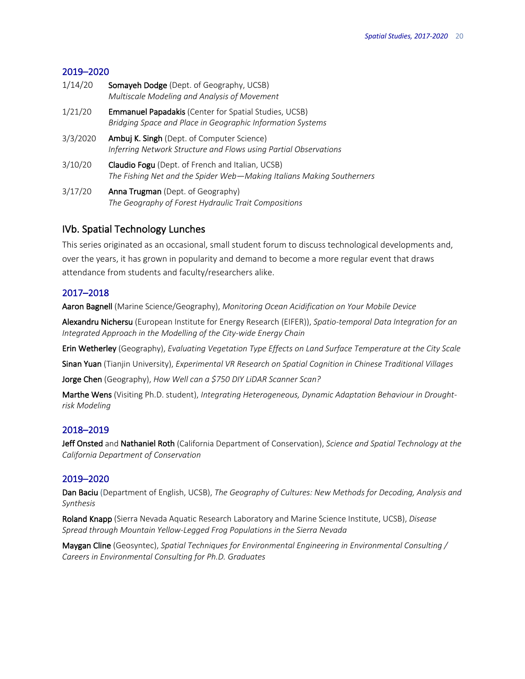## 2019–2020

| 1/14/20                    | Somayeh Dodge (Dept. of Geography, UCSB)<br>Multiscale Modeling and Analysis of Movement                                   |
|----------------------------|----------------------------------------------------------------------------------------------------------------------------|
| 1/21/20                    | <b>Emmanuel Papadakis (Center for Spatial Studies, UCSB)</b><br>Bridging Space and Place in Geographic Information Systems |
| 3/3/2020                   | Ambuj K. Singh (Dept. of Computer Science)<br>Inferring Network Structure and Flows using Partial Observations             |
| 3/10/20                    | Claudio Fogu (Dept. of French and Italian, UCSB)<br>The Fishing Net and the Spider Web-Making Italians Making Southerners  |
| $\sim$ $\mu$ $\sim$ $\sim$ |                                                                                                                            |

3/17/20 **Anna Trugman** (Dept. of Geography) *The Geography of Forest Hydraulic Trait Compositions*

## IVb. Spatial Technology Lunches

This series originated as an occasional, small student forum to discuss technological developments and, over the years, it has grown in popularity and demand to become a more regular event that draws attendance from students and faculty/researchers alike.

## 2017–2018

Aaron Bagnell (Marine Science/Geography), *Monitoring Ocean Acidification on Your Mobile Device*

Alexandru Nichersu (European Institute for Energy Research (EIFER)), *Spatio-temporal Data Integration for an Integrated Approach in the Modelling of the City-wide Energy Chain*

Erin Wetherley (Geography), *Evaluating Vegetation Type Effects on Land Surface Temperature at the City Scale*

Sinan Yuan (Tianjin University), *Experimental VR Research on Spatial Cognition in Chinese Traditional Villages*

Jorge Chen (Geography), *How Well can a \$750 DIY LiDAR Scanner Scan?*

Marthe Wens (Visiting Ph.D. student), *Integrating Heterogeneous, Dynamic Adaptation Behaviour in Droughtrisk Modeling*

## 2018–2019

Jeff Onsted and Nathaniel Roth (California Department of Conservation), *Science and Spatial Technology at the California Department of Conservation*

## 2019–2020

Dan Baciu (Department of English, UCSB), *The Geography of Cultures: New Methods for Decoding, Analysis and Synthesis*

Roland Knapp (Sierra Nevada Aquatic Research Laboratory and Marine Science Institute, UCSB), *Disease Spread through Mountain Yellow-Legged Frog Populations in the Sierra Nevada* 

Maygan Cline (Geosyntec), *Spatial Techniques for Environmental Engineering in Environmental Consulting / Careers in Environmental Consulting for Ph.D. Graduates*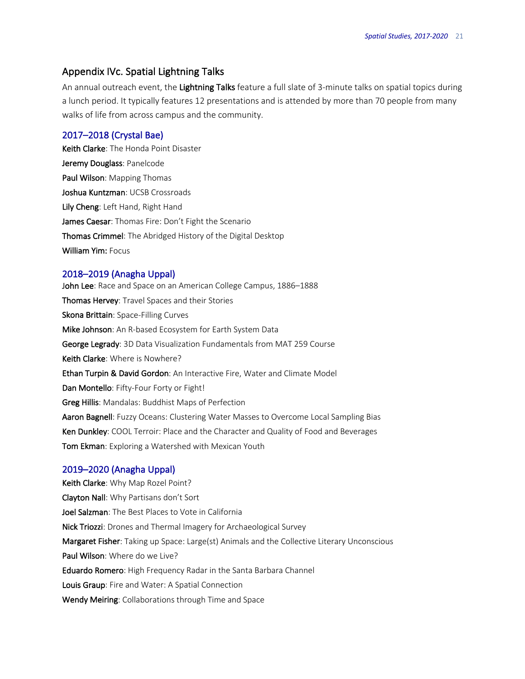## Appendix IVc. Spatial Lightning Talks

An annual outreach event, the Lightning Talks feature a full slate of 3-minute talks on spatial topics during a lunch period. It typically features 12 presentations and is attended by more than 70 people from many walks of life from across campus and the community.

### 2017–2018 (Crystal Bae)

Keith Clarke: The Honda Point Disaster Jeremy Douglass: Panelcode Paul Wilson: Mapping Thomas Joshua Kuntzman: UCSB Crossroads Lily Cheng: Left Hand, Right Hand James Caesar: Thomas Fire: Don't Fight the Scenario Thomas Crimmel: The Abridged History of the Digital Desktop William Yim: Focus

### 2018–2019 (Anagha Uppal)

John Lee: Race and Space on an American College Campus, 1886-1888 Thomas Hervey: Travel Spaces and their Stories Skona Brittain: Space-Filling Curves Mike Johnson: An R-based Ecosystem for Earth System Data George Legrady: 3D Data Visualization Fundamentals from MAT 259 Course Keith Clarke: Where is Nowhere? Ethan Turpin & David Gordon: An Interactive Fire, Water and Climate Model Dan Montello: Fifty-Four Forty or Fight! Greg Hillis: Mandalas: Buddhist Maps of Perfection Aaron Bagnell: Fuzzy Oceans: Clustering Water Masses to Overcome Local Sampling Bias Ken Dunkley: COOL Terroir: Place and the Character and Quality of Food and Beverages Tom Ekman: Exploring a Watershed with Mexican Youth

### 2019–2020 (Anagha Uppal)

Keith Clarke: Why Map Rozel Point? Clayton Nall: Why Partisans don't Sort Joel Salzman: The Best Places to Vote in California Nick Triozzi: Drones and Thermal Imagery for Archaeological Survey Margaret Fisher: Taking up Space: Large(st) Animals and the Collective Literary Unconscious Paul Wilson: Where do we Live? Eduardo Romero: High Frequency Radar in the Santa Barbara Channel Louis Graup: Fire and Water: A Spatial Connection Wendy Meiring: Collaborations through Time and Space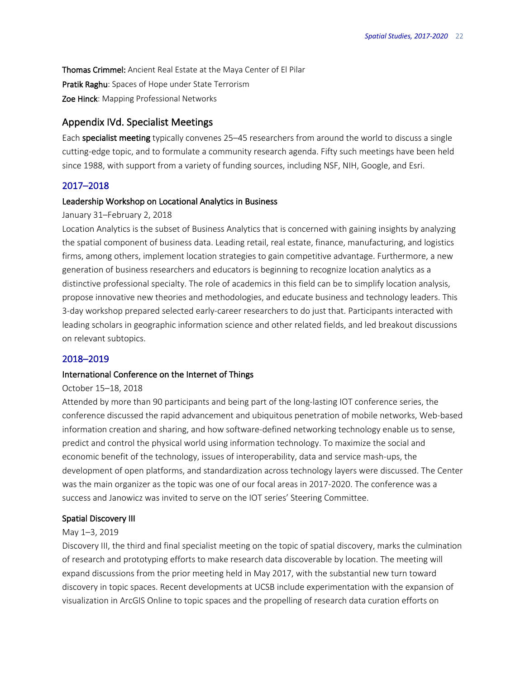Thomas Crimmel: Ancient Real Estate at the Maya Center of El Pilar Pratik Raghu: Spaces of Hope under State Terrorism Zoe Hinck: Mapping Professional Networks

### Appendix IVd. Specialist Meetings

Each specialist meeting typically convenes 25–45 researchers from around the world to discuss a single cutting-edge topic, and to formulate a community research agenda. Fifty such meetings have been held since 1988, with support from a variety of funding sources, including NSF, NIH, Google, and Esri.

### 2017–2018

### Leadership Workshop on Locational Analytics in Business

### January 31–February 2, 2018

Location Analytics is the subset of Business Analytics that is concerned with gaining insights by analyzing the spatial component of business data. Leading retail, real estate, finance, manufacturing, and logistics firms, among others, implement location strategies to gain competitive advantage. Furthermore, a new generation of business researchers and educators is beginning to recognize location analytics as a distinctive professional specialty. The role of academics in this field can be to simplify location analysis, propose innovative new theories and methodologies, and educate business and technology leaders. This 3-day workshop prepared selected early-career researchers to do just that. Participants interacted with leading scholars in geographic information science and other related fields, and led breakout discussions on relevant subtopics.

## 2018–2019

### International Conference on the Internet of Things

#### October 15–18, 2018

Attended by more than 90 participants and being part of the long-lasting IOT conference series, the conference discussed the rapid advancement and ubiquitous penetration of mobile networks, Web-based information creation and sharing, and how software-defined networking technology enable us to sense, predict and control the physical world using information technology. To maximize the social and economic benefit of the technology, issues of interoperability, data and service mash-ups, the development of open platforms, and standardization across technology layers were discussed. The Center was the main organizer as the topic was one of our focal areas in 2017-2020. The conference was a success and Janowicz was invited to serve on the IOT series' Steering Committee.

#### Spatial Discovery III

#### May 1–3, 2019

Discovery III, the third and final specialist meeting on the topic of spatial discovery, marks the culmination of research and prototyping efforts to make research data discoverable by location. The meeting will expand discussions from the prior meeting held in May 2017, with the substantial new turn toward discovery in topic spaces. Recent developments at UCSB include experimentation with the expansion of visualization in ArcGIS Online to topic spaces and the propelling of research data curation efforts on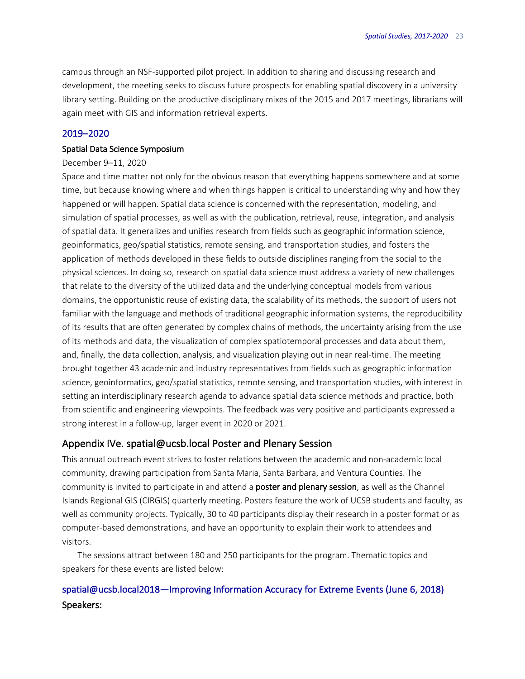campus through an NSF-supported pilot project. In addition to sharing and discussing research and development, the meeting seeks to discuss future prospects for enabling spatial discovery in a university library setting. Building on the productive disciplinary mixes of the 2015 and 2017 meetings, librarians will again meet with GIS and information retrieval experts.

### 2019–2020

### Spatial Data Science Symposium

### December 9–11, 2020

Space and time matter not only for the obvious reason that everything happens somewhere and at some time, but because knowing where and when things happen is critical to understanding why and how they happened or will happen. Spatial data science is concerned with the representation, modeling, and simulation of spatial processes, as well as with the publication, retrieval, reuse, integration, and analysis of spatial data. It generalizes and unifies research from fields such as geographic information science, geoinformatics, geo/spatial statistics, remote sensing, and transportation studies, and fosters the application of methods developed in these fields to outside disciplines ranging from the social to the physical sciences. In doing so, research on spatial data science must address a variety of new challenges that relate to the diversity of the utilized data and the underlying conceptual models from various domains, the opportunistic reuse of existing data, the scalability of its methods, the support of users not familiar with the language and methods of traditional geographic information systems, the reproducibility of its results that are often generated by complex chains of methods, the uncertainty arising from the use of its methods and data, the visualization of complex spatiotemporal processes and data about them, and, finally, the data collection, analysis, and visualization playing out in near real-time. The meeting brought together 43 academic and industry representatives from fields such as geographic information science, geoinformatics, geo/spatial statistics, remote sensing, and transportation studies, with interest in setting an interdisciplinary research agenda to advance spatial data science methods and practice, both from scientific and engineering viewpoints. The feedback was very positive and participants expressed a strong interest in a follow-up, larger event in 2020 or 2021.

### Appendix IVe. spatial@ucsb.local Poster and Plenary Session

This annual outreach event strives to foster relations between the academic and non-academic local community, drawing participation from Santa Maria, Santa Barbara, and Ventura Counties. The community is invited to participate in and attend a **poster and plenary session**, as well as the Channel Islands Regional GIS (CIRGIS) quarterly meeting. Posters feature the work of UCSB students and faculty, as well as community projects. Typically, 30 to 40 participants display their research in a poster format or as computer-based demonstrations, and have an opportunity to explain their work to attendees and visitors.

The sessions attract between 180 and 250 participants for the program. Thematic topics and speakers for these events are listed below:

## spatial@ucsb.local2018—Improving Information Accuracy for Extreme Events (June 6, 2018) Speakers: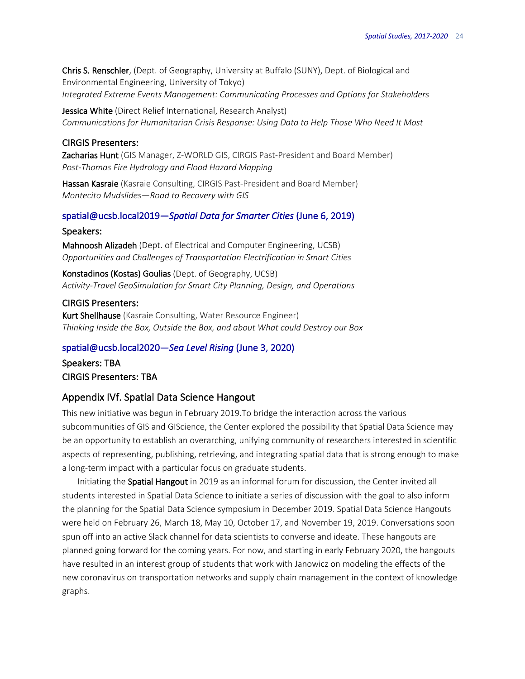Chris S. Renschler, (Dept. of Geography, University at Buffalo (SUNY), Dept. of Biological and Environmental Engineering, University of Tokyo) *Integrated Extreme Events Management: Communicating Processes and Options for Stakeholders*

Jessica White (Direct Relief International, Research Analyst) *Communications for Humanitarian Crisis Response: Using Data to Help Those Who Need It Most*

### CIRGIS Presenters:

Zacharias Hunt (GIS Manager, Z-WORLD GIS, CIRGIS Past-President and Board Member) *Post-Thomas Fire Hydrology and Flood Hazard Mapping*

Hassan Kasraie (Kasraie Consulting, CIRGIS Past-President and Board Member) *Montecito Mudslides—Road to Recovery with GIS*

### spatial@ucsb.local2019—*Spatial Data for Smarter Cities* (June 6, 2019)

### Speakers:

Mahnoosh Alizadeh (Dept. of Electrical and Computer Engineering, UCSB) *Opportunities and Challenges of Transportation Electrification in Smart Cities*

Konstadinos (Kostas) Goulias (Dept. of Geography, UCSB) *Activity-Travel GeoSimulation for Smart City Planning, Design, and Operations*

### CIRGIS Presenters:

Kurt Shellhause (Kasraie Consulting, Water Resource Engineer) *Thinking Inside the Box, Outside the Box, and about What could Destroy our Box*

#### spatial@ucsb.local2020—*Sea Level Rising* (June 3, 2020)

Speakers: TBA CIRGIS Presenters: TBA

## Appendix IVf. Spatial Data Science Hangout

This new initiative was begun in February 2019.To bridge the interaction across the various subcommunities of GIS and GIScience, the Center explored the possibility that Spatial Data Science may be an opportunity to establish an overarching, unifying community of researchers interested in scientific aspects of representing, publishing, retrieving, and integrating spatial data that is strong enough to make a long-term impact with a particular focus on graduate students.

Initiating the Spatial Hangout in 2019 as an informal forum for discussion, the Center invited all students interested in Spatial Data Science to initiate a series of discussion with the goal to also inform the planning for the Spatial Data Science symposium in December 2019. Spatial Data Science Hangouts were held on February 26, March 18, May 10, October 17, and November 19, 2019. Conversations soon spun off into an active Slack channel for data scientists to converse and ideate. These hangouts are planned going forward for the coming years. For now, and starting in early February 2020, the hangouts have resulted in an interest group of students that work with Janowicz on modeling the effects of the new coronavirus on transportation networks and supply chain management in the context of knowledge graphs.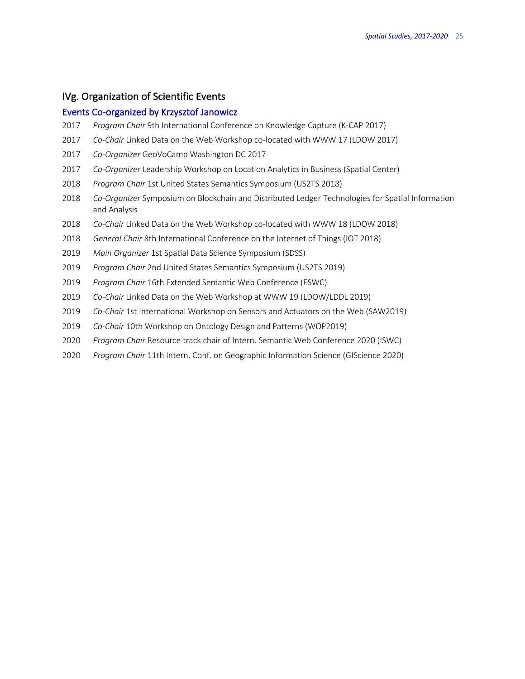### IVg. Organization of Scientific Events

### Events Co-organized by Krzysztof Janowicz

- *Program Chair* 9th International Conference on Knowledge Capture (K-CAP 2017)
- *Co-Chair* Linked Data on the Web Workshop co-located with WWW 17 (LDOW 2017)
- *Co-Organizer* GeoVoCamp Washington DC 2017
- *Co-Organizer* Leadership Workshop on Location Analytics in Business (Spatial Center)
- *Program Chair* 1st United States Semantics Symposium (US2TS 2018)
- *Co-Organizer* Symposium on Blockchain and Distributed Ledger Technologies for Spatial Information and Analysis
- *Co-Chair* Linked Data on the Web Workshop co-located with WWW 18 (LDOW 2018)
- *General Chair* 8th International Conference on the Internet of Things (IOT 2018)
- *Main Organizer* 1st Spatial Data Science Symposium (SDSS)
- *Program Chair* 2nd United States Semantics Symposium (US2TS 2019)
- *Program Chair* 16th Extended Semantic Web Conference (ESWC)
- *Co-Chair* Linked Data on the Web Workshop at WWW 19 (LDOW/LDDL 2019)
- *Co-Chair* 1st International Workshop on Sensors and Actuators on the Web (SAW2019)
- *Co-Chair* 10th Workshop on Ontology Design and Patterns (WOP2019)
- *Program Chair* Resource track chair of Intern. Semantic Web Conference 2020 (ISWC)
- *Program Chair* 11th Intern. Conf. on Geographic Information Science (GIScience 2020)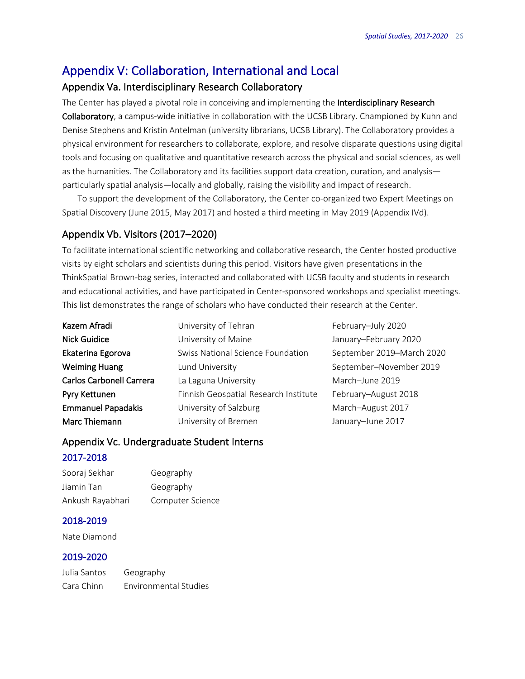## Appendix V: Collaboration, International and Local

## Appendix Va. Interdisciplinary Research Collaboratory

The Center has played a pivotal role in conceiving and implementing the Interdisciplinary Research Collaboratory, a campus-wide initiative in collaboration with the UCSB Library. Championed by Kuhn and Denise Stephens and Kristin Antelman (university librarians, UCSB Library). The Collaboratory provides a physical environment for researchers to collaborate, explore, and resolve disparate questions using digital tools and focusing on qualitative and quantitative research across the physical and social sciences, as well as the humanities. The Collaboratory and its facilities support data creation, curation, and analysis particularly spatial analysis—locally and globally, raising the visibility and impact of research.

To support the development of the Collaboratory, the Center co-organized two Expert Meetings on Spatial Discovery (June 2015, May 2017) and hosted a third meeting in May 2019 (Appendix IVd).

## Appendix Vb. Visitors (2017–2020)

To facilitate international scientific networking and collaborative research, the Center hosted productive visits by eight scholars and scientists during this period. Visitors have given presentations in the ThinkSpatial Brown-bag series, interacted and collaborated with UCSB faculty and students in research and educational activities, and have participated in Center-sponsored workshops and specialist meetings. This list demonstrates the range of scholars who have conducted their research at the Center.

| Kazem Afradi                    | University of Tehran                  | February-July 2020 |
|---------------------------------|---------------------------------------|--------------------|
| <b>Nick Guidice</b>             | University of Maine                   | January-February 2 |
| Ekaterina Egorova               | Swiss National Science Foundation     | September 2019-M   |
| <b>Weiming Huang</b>            | Lund University                       | September-Novem    |
| <b>Carlos Carbonell Carrera</b> | La Laguna University                  | March-June 2019    |
| Pyry Kettunen                   | Finnish Geospatial Research Institute | February-August 20 |
| <b>Emmanuel Papadakis</b>       | University of Salzburg                | March-August 2017  |
| Marc Thiemann                   | University of Bremen                  | January-June 2017  |

February–July 2020 January–February 2020 September 2019–March 2020 September–November 2019 March–June 2019 te February-August 2018 March–August 2017

## Appendix Vc. Undergraduate Student Interns

## 2017-2018

| Sooraj Sekhar    | Geography        |
|------------------|------------------|
| Jiamin Tan       | Geography        |
| Ankush Rayabhari | Computer Science |

## 2018-2019

Nate Diamond

## 2019-2020

Julia Santos Geography Cara Chinn Environmental Studies